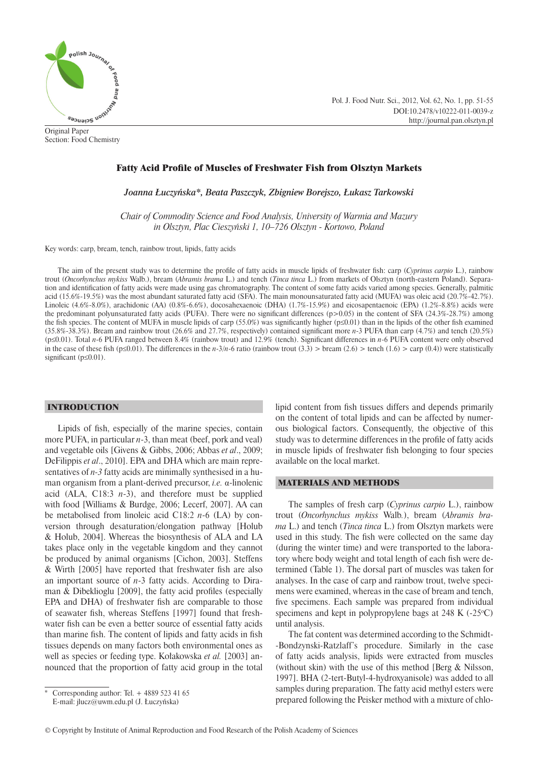

Original Paper Section: Food Chemistry Pol. J. Food Nutr. Sci., 2012, Vol. 62, No. 1, pp. 51-55 DOI:10.2478/v10222-011-0039-z http://journal.pan.olsztyn.pl

# Fatty Acid Profile of Muscles of Freshwater Fish from Olsztyn Markets

*Joanna Łuczyńska\*, Beata Paszczyk, Zbigniew Borejszo, Łukasz Tarkowski*

*Chair of Commodity Science and Food Analysis, University of Warmia and Mazury in Olsztyn, Plac Cieszyński 1, 10–726 Olsztyn - Kortowo, Poland*

Key words: carp, bream, tench, rainbow trout, lipids, fatty acids

The aim of the present study was to determine the profile of fatty acids in muscle lipids of freshwater fish: carp (*Cyprinus carpio* L.), rainbow trout (*Oncorhynchus mykiss* Walb.), bream (*Abramis brama* L.) and tench (*Tinca tinca* L.) from markets of Olsztyn (north-eastern Poland). Separation and identification of fatty acids were made using gas chromatography. The content of some fatty acids varied among species. Generally, palmitic acid (15.6%-19.5%) was the most abundant saturated fatty acid (SFA). The main monounsaturated fatty acid (MUFA) was oleic acid (20.7%-42.7%). Linoleic (4.6%-8.0%), arachidonic (AA) (0.8%-6.6%), docosahexaenoic (DHA) (1.7%-15.9%) and eicosapentaenoic (EPA) (1.2%-8.8%) acids were the predominant polyunsaturated fatty acids (PUFA). There were no significant differences ( $p$ >0.05) in the content of SFA (24.3%-28.7%) among the fish species. The content of MUFA in muscle lipids of carp (55.0%) was significantly higher ( $p \le 0.01$ ) than in the lipids of the other fish examined (35.8%-38.3%). Bream and rainbow trout (26.6% and 27.7%, respectively) contained significant more *n*-3 PUFA than carp (4.7%) and tench (20.5%) (p≤0.01). Total *n*-6 PUFA ranged between 8.4% (rainbow trout) and 12.9% (tench). Significant differences in *n*-6 PUFA content were only observed in the case of these fish (p≤0.01). The differences in the *n*-3/*n*-6 ratio (rainbow trout (3.3) > bream (2.6) > tench (1.6) > carp (0.4)) were statistically significant ( $p \le 0.01$ ).

### INTRODUCTION

Lipids of fish, especially of the marine species, contain more PUFA, in particular *n*-3, than meat (beef, pork and veal) and vegetable oils [Givens & Gibbs, 2006; Abbas *et al*., 2009; DeFilippis *et al*., 2010]. EPA and DHA which are main representatives of *n-3* fatty acids are minimally synthesised in a human organism from a plant-derived precursor, *i.e.* α-linolenic acid (ALA,  $C18:3$   $n-3$ ), and therefore must be supplied with food [Williams & Burdge, 2006; Lecerf, 2007]. AA can be metabolised from linoleic acid C18:2 *n*-6 (LA) by conversion through desaturation/elongation pathway [Holub & Holub, 2004]. Whereas the biosynthesis of ALA and LA takes place only in the vegetable kingdom and they cannot be produced by animal organisms [Cichon, 2003]. Steffens  $&$  Wirth [2005] have reported that freshwater fish are also an important source of *n*-3 fatty acids. According to Diraman  $&$  Dibeklioglu [2009], the fatty acid profiles (especially EPA and DHA) of freshwater fish are comparable to those of seawater fish, whereas Steffens [1997] found that freshwater fish can be even a better source of essential fatty acids than marine fish. The content of lipids and fatty acids in fish tissues depends on many factors both environmental ones as well as species or feeding type. Kołakowska *et al.* [2003] announced that the proportion of fatty acid group in the total lipid content from fish tissues differs and depends primarily on the content of total lipids and can be affected by numerous biological factors. Consequently, the objective of this study was to determine differences in the profile of fatty acids in muscle lipids of freshwater fish belonging to four species available on the local market.

#### MATERIALS AND METHODS

The samples of fresh carp (*Cyprinus carpio* L.), rainbow trout (*Oncorhynchus mykiss* Walb*.*), bream (*Abramis brama* L.) and tench (*Tinca tinca* L.) from Olsztyn markets were used in this study. The fish were collected on the same day (during the winter time) and were transported to the laboratory where body weight and total length of each fish were determined (Table 1). The dorsal part of muscles was taken for analyses. In the case of carp and rainbow trout, twelve specimens were examined, whereas in the case of bream and tench, five specimens. Each sample was prepared from individual specimens and kept in polypropylene bags at  $248 \text{ K}$  (-25 $\textdegree$ C) until analysis.

The fat content was determined according to the Schmidt- -Bondzynski-Ratzlaff's procedure. Similarly in the case of fatty acids analysis, lipids were extracted from muscles (without skin) with the use of this method [Berg & Nilsson, 1997]. BHA (2-tert-Butyl-4-hydroxyanisole) was added to all samples during preparation. The fatty acid methyl esters were prepared following the Peisker method with a mixture of chlo-

Corresponding author: Tel.  $+ 4889 523 41 65$ E-mail: jlucz@uwm.edu.pl (J. Łuczyńska)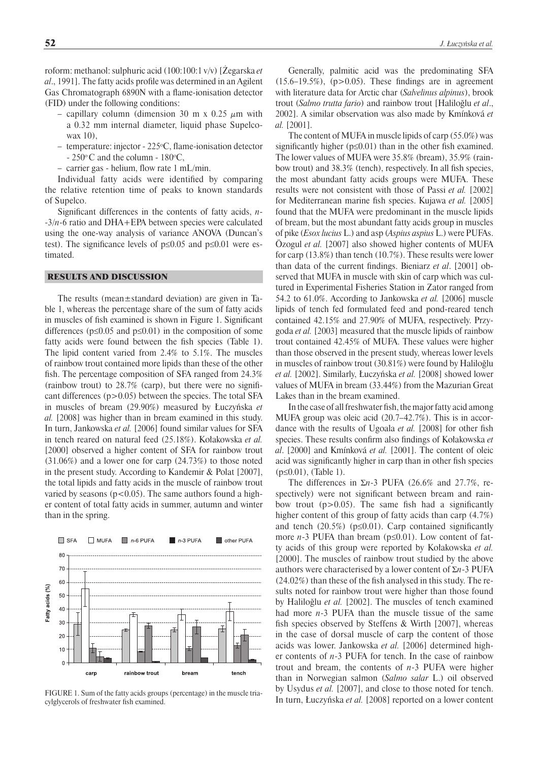roform: methanol: sulphuric acid (100:100:1 v/v) [Żegarska *et al.*, 1991]. The fatty acids profile was determined in an Agilent Gas Chromatograph 6890N with a flame-ionisation detector (FID) under the following conditions:

- capillary column (dimension 30 m x 0.25  $\mu$ m with a 0.32 mm internal diameter, liquid phase Supelcowax 10),
- temperature: injector 225<sup>o</sup>C, flame-ionisation detector  $-250\degree$ C and the column  $-180\degree$ C,
- carrier gas helium, flow rate 1 mL/min.

Individual fatty acids were identified by comparing the relative retention time of peaks to known standards of Supelco.

Significant differences in the contents of fatty acids, *n*--3/*n*-6 ratio and DHA+EPA between species were calculated using the one-way analysis of variance ANOVA (Duncan's test). The significance levels of  $p \le 0.05$  and  $p \le 0.01$  were estimated.

## RESULTS AND DISCUSSION

The results (mean±standard deviation) are given in Table 1, whereas the percentage share of the sum of fatty acids in muscles of fish examined is shown in Figure 1. Significant differences ( $p \le 0.05$  and  $p \le 0.01$ ) in the composition of some fatty acids were found between the fish species (Table 1). The lipid content varied from 2.4% to 5.1%. The muscles of rainbow trout contained more lipids than these of the other fish. The percentage composition of SFA ranged from  $24.3\%$ (rainbow trout) to  $28.7\%$  (carp), but there were no significant differences  $(p>0.05)$  between the species. The total SFA in muscles of bream (29.90%) measured by Łuczyńska *et al.* [2008] was higher than in bream examined in this study. In turn, Jankowska *et al.* [2006] found similar values for SFA in tench reared on natural feed (25.18%). Kołakowska *et al.* [2000] observed a higher content of SFA for rainbow trout (31.06%) and a lower one for carp (24.73%) to those noted in the present study. According to Kandemir & Polat [2007], the total lipids and fatty acids in the muscle of rainbow trout varied by seasons ( $p<0.05$ ). The same authors found a higher content of total fatty acids in summer, autumn and winter than in the spring.



FIGURE 1. Sum of the fatty acids groups (percentage) in the muscle triacylglycerols of freshwater fish examined.

Generally, palmitic acid was the predominating SFA  $(15.6-19.5\%)$ ,  $(p>0.05)$ . These findings are in agreement with literature data for Arctic char (*Salvelinus alpinus*), brook trout (*Salmo trutta fario*) and rainbow trout [Haliloğlu *et al*., 2002]. A similar observation was also made by Kmínková *et al.* [2001].

The content of MUFA in muscle lipids of carp (55.0%) was significantly higher ( $p \le 0.01$ ) than in the other fish examined. The lower values of MUFA were 35.8% (bream), 35.9% (rainbow trout) and 38.3% (tench), respectively. In all fish species, the most abundant fatty acids groups were MUFA. These results were not consistent with those of Passi *et al.* [2002] for Mediterranean marine fish species. Kujawa et al. [2005] found that the MUFA were predominant in the muscle lipids of bream, but the most abundant fatty acids group in muscles of pike (*Esox lucius* L.) and asp (*Aspius aspius* L.) were PUFAs. Özogul *et al.* [2007] also showed higher contents of MUFA for carp (13.8%) than tench (10.7%). These results were lower than data of the current findings. Bieniarz *et al.* [2001] observed that MUFA in muscle with skin of carp which was cultured in Experimental Fisheries Station in Zator ranged from 54.2 to 61.0%. According to Jankowska *et al.* [2006] muscle lipids of tench fed formulated feed and pond-reared tench contained 42.15% and 27.90% of MUFA, respectively. Przygoda *et al.* [2003] measured that the muscle lipids of rainbow trout contained 42.45% of MUFA. These values were higher than those observed in the present study, whereas lower levels in muscles of rainbow trout (30.81%) were found by Haliloğlu *et al.* [2002]. Similarly, Łuczyńska *et al.* [2008] showed lower values of MUFA in bream (33.44%) from the Mazurian Great Lakes than in the bream examined.

In the case of all freshwater fish, the major fatty acid among MUFA group was oleic acid (20.7–42.7%). This is in accordance with the results of Ugoala *et al.* [2008] for other fish species. These results confirm also findings of Kołakowska et *al*. [2000] and Kmínková *et al.* [2001]. The content of oleic acid was significantly higher in carp than in other fish species (p≤0.01), (Table 1).

The differences in Σ*n*-3 PUFA (26.6% and 27.7%, respectively) were not significant between bream and rainbow trout  $(p>0.05)$ . The same fish had a significantly higher content of this group of fatty acids than carp (4.7%) and tench  $(20.5\%)$  ( $p \le 0.01$ ). Carp contained significantly more *n*-3 PUFA than bream (p≤0.01). Low content of fatty acids of this group were reported by Kołakowska *et al.*  [2000]. The muscles of rainbow trout studied by the above authors were characterised by a lower content of Σ*n*-3 PUFA  $(24.02\%)$  than these of the fish analysed in this study. The results noted for rainbow trout were higher than those found by Haliloğlu *et al.* [2002]. The muscles of tench examined had more *n*-3 PUFA than the muscle tissue of the same fish species observed by Steffens  $&$  Wirth [2007], whereas in the case of dorsal muscle of carp the content of those acids was lower. Jankowska *et al.* [2006] determined higher contents of *n*-3 PUFA for tench. In the case of rainbow trout and bream, the contents of *n*-3 PUFA were higher than in Norwegian salmon (*Salmo salar* L.) oil observed by Usydus *et al.* [2007], and close to those noted for tench. In turn, Łuczyńska *et al.* [2008] reported on a lower content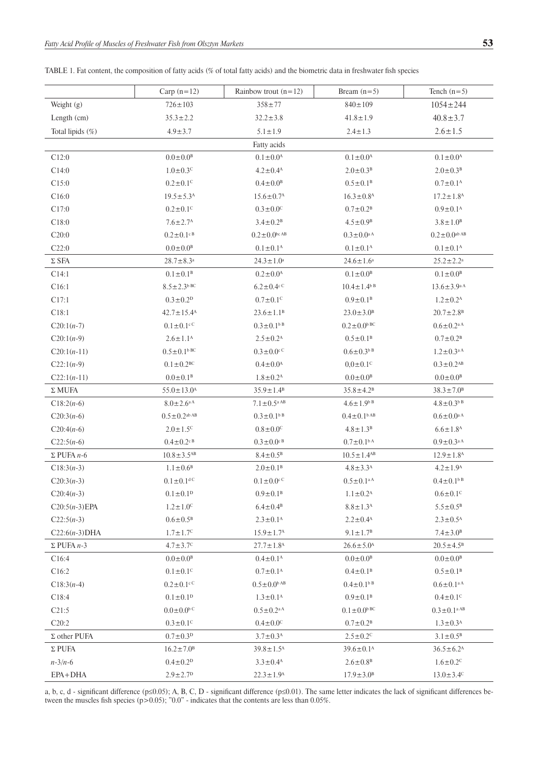|  |  |  |  | TABLE 1. Fat content, the composition of fatty acids (% of total fatty acids) and the biometric data in freshwater fish species |
|--|--|--|--|---------------------------------------------------------------------------------------------------------------------------------|
|--|--|--|--|---------------------------------------------------------------------------------------------------------------------------------|

|                           | Carp $(n=12)$                  | Rainbow trout $(n=12)$        | Bream $(n=5)$                 | Tench $(n=5)$                            |
|---------------------------|--------------------------------|-------------------------------|-------------------------------|------------------------------------------|
| Weight (g)                | $726 \pm 103$                  | $358 \pm 77$                  | $840 \pm 109$                 | $1054 \pm 244$                           |
| Length (cm)               | $35.3 \pm 2.2$                 | $32.2 \pm 3.8$                | $41.8 \pm 1.9$                | $40.8 \pm 3.7$                           |
| Total lipids (%)          | $4.9 \pm 3.7$                  | $5.1 \pm 1.9$                 | $2.4 \pm 1.3$                 | $2.6 \pm 1.5$                            |
|                           |                                | Fatty acids                   |                               |                                          |
| C12:0                     | $0.0 \pm 0.0$ <sup>B</sup>     | $0.1 \pm 0.0^{\rm A}$         | $0.1 \pm 0.0^{\rm A}$         | $0.1 \pm 0.0^{\rm A}$                    |
| C14:0                     | $1.0 \pm 0.3$ <sup>C</sup>     | $4.2 \pm 0.4$ <sup>A</sup>    | $2.0 \pm 0.3^{\rm B}$         | $2.0 \pm 0.3^{\rm B}$                    |
| C15:0                     | $0.2 \pm 0.1$ <sup>C</sup>     | $0.4 \pm 0.0^{\rm B}$         | $0.5 \pm 0.1^{\circ}$         | $0.7 \pm 0.1^{\rm A}$                    |
| C16:0                     | $19.5 \pm 5.3^{\rm A}$         | $15.6 \pm 0.7^{\rm A}$        | $16.3 \pm 0.8$ <sup>A</sup>   | $17.2 \pm 1.8$ <sup>A</sup>              |
| C17:0                     | $0.2 \pm 0.1$ <sup>C</sup>     | $0.3 \pm 0.0^{\circ}$         | $0.7 \pm 0.2^{\rm B}$         | $0.9 \pm 0.1^{\rm A}$                    |
| C18:0                     | $7.6 \pm 2.7^{\rm A}$          | $3.4 \pm 0.2^B$               | $4.5 \pm 0.9^{\circ}$         | $3.8 \pm 1.0^{\rm B}$                    |
| C20:0                     | $0.2 \pm 0.1$ <sup>cB</sup>    | $0.2 \pm 0.0$ bc AB           | $0.3 \pm 0.0$ <sup>a A</sup>  | $0.2 \pm 0.0$ <sup>ab AB</sup>           |
| C22:0                     | $0.0 \pm 0.0^{\circ}$          | $0.1 \pm 0.1^{\rm A}$         | $0.1 \pm 0.1^{\rm A}$         | $0.1 \pm 0.1^{\rm A}$                    |
| $\Sigma$ SFA              | $28.7\pm8.3^{\rm a}$           | $24.3 \pm 1.0^a$              | $24.6 \pm 1.6^a$              | $25.2 \pm 2.2^a$                         |
| C14:1                     | $0.1 \pm 0.1^{\rm B}$          | $0.2 \pm 0.0^{\text{A}}$      | $0.1 \pm 0.0^{\rm B}$         | $0.1 \pm 0.0^{\rm B}$                    |
| C16:1                     | $8.5 \pm 2.3$ <sup>bBC</sup>   | $6.2 \pm 0.4$ <sup>cC</sup>   | $10.4 \pm 1.4$ <sup>b B</sup> | $13.6 \pm 3.9^{\text{a A}}$              |
| C17:1                     | $0.3 \pm 0.2$ <sup>D</sup>     | $0.7 \pm 0.1$ <sup>C</sup>    | $0.9 \pm 0.1^{\rm B}$         | $1.2 \pm 0.2^{\rm A}$                    |
| C18:1                     | $42.7 \pm 15.4$ <sup>A</sup>   | $23.6 \pm 1.1^{\rm B}$        | $23.0 \pm 3.0^{\rm B}$        | $20.7 \pm 2.8$ <sup>B</sup>              |
| $C20:1(n-7)$              | $0.1 \pm 0.1$ <sup>cC</sup>    | $0.3 \pm 0.1$ <sup>bB</sup>   | $0.2 \pm 0.0$ <sup>bBC</sup>  | $0.6 \pm 0.2$ <sup>aA</sup>              |
| $C20:1(n-9)$              | $2.6 \pm 1.1^{\rm A}$          | $2.5 \pm 0.2^{\rm A}$         | $0.5 \pm 0.1^{\rm B}$         | $0.7 \pm 0.2^{\rm B}$                    |
| $C20:1(n-11)$             | $0.5 \pm 0.1$ <sup>bBC</sup>   | $0.3 \pm 0.0$ <sup>c</sup>    | $0.6 \pm 0.3^{b B}$           | $1.2 \pm 0.3$ <sup>aA</sup>              |
| $C22:1(n-9)$              | $0.1 \pm 0.2^{\rm BC}$         | $0.4 \pm 0.0^{\rm A}$         | $0.0 \pm 0.1$ <sup>C</sup>    | $0.3 \pm 0.2^{AB}$                       |
| $C22:1(n-11)$             | $0.0 \pm 0.1^{\rm B}$          | $1.8 \pm 0.2^{\rm A}$         | $0.0 \pm 0.0^{\text{B}}$      | $0.0 \pm 0.0^{\text{B}}$                 |
| $\Sigma$ MUFA             | $55.0 \pm 13.0^{\rm A}$        | $35.9 \pm 1.4^{\rm B}$        | $35.8 \pm 4.2^{\rm B}$        | $38.3 \pm 7.0^{\rm B}$                   |
| $C18:2(n-6)$              | $8.0 \pm 2.6^{\text{a A}}$     | $7.1 \pm 0.5$ <sup>a AB</sup> | $4.6 \pm 1.9^{b B}$           | $4.8 \pm 0.3^{b B}$                      |
| $C20:3(n-6)$              | $0.5 \pm 0.2$ <sup>ab AB</sup> | $0.3 \pm 0.1$ <sup>bB</sup>   | $0.4 \pm 0.1$ <sup>bAB</sup>  | $0.6\!\pm\!0.0^{\mathrm{a}\,\mathrm{A}}$ |
| $C20:4(n-6)$              | $2.0 \pm 1.5$ <sup>C</sup>     | $0.8 \pm 0.0^{\circ}$         | $4.8 \pm 1.3^{B}$             | $6.6 \pm 1.8$ <sup>A</sup>               |
| $C22:5(n-6)$              | $0.4\pm0.2$ <sup>cB</sup>      | $0.3 \pm 0.0$ <sup>cB</sup>   | $0.7 \pm 0.1$ <sup>bA</sup>   | $0.9 \pm 0.3$ <sup>aA</sup>              |
| $\Sigma$ PUFA <i>n</i> -6 | $10.8 \pm 3.5^{AB}$            | $8.4 \pm 0.5^{\rm B}$         | $10.5 \pm 1.4^{AB}$           | $12.9 \pm 1.8$ <sup>A</sup>              |
| $C18:3(n-3)$              | $1.1 \pm 0.6^{\rm B}$          | $2.0 \pm 0.1^{\circ}$         | $4.8 \pm 3.3^{\rm A}$         | $4.2 \pm 1.9^{\rm A}$                    |
| $C20:3(n-3)$              | $0.1 \pm 0.1$ <sup>d C</sup>   | $0.1 \pm 0.0$ <sup>cC</sup>   | $0.5 \pm 0.1$ <sup>aA</sup>   | $0.4 \pm 0.1$ <sup>bB</sup>              |
| $C20:4(n-3)$              | $0.1 \pm 0.1^D$                | $0.9 \pm 0.1^{\rm B}$         | $1.1 \pm 0.2^{\rm A}$         | $0.6 \pm 0.1$ <sup>C</sup>               |
| $C20:5(n-3)EPA$           | $1.2 \pm 1.0$ <sup>C</sup>     | $6.4\pm0.4^{\rm B}$           | $8.8 \pm 1.3^{\rm A}$         | $5.5 \pm 0.5^{\rm B}$                    |
| $C22:5(n-3)$              | $0.6 \pm 0.5^{\rm B}$          | $2.3 \pm 0.1^{\rm A}$         | $2.2 \pm 0.4^{\rm A}$         | $2.3 \pm 0.5^{\rm A}$                    |
| $C22:6(n-3)DHA$           | $1.7 \pm 1.7^{\circ}$          | $15.9 \pm 1.7^{\rm A}$        | $9.1 \pm 1.7^{\rm B}$         | $7.4 \pm 3.0^{\rm B}$                    |
| $\Sigma$ PUFA $n-3$       | $4.7 \pm 3.7^{\circ}$          | $27.7 \pm 1.8$ <sup>A</sup>   | $26.6 \pm 5.0^{\text{A}}$     | $20.5 \pm 4.5^{\circ}$                   |
| C16:4                     | $0.0 \pm 0.0^{\circ}$          | $0.4 \pm 0.1^{\rm A}$         | $0.0 \pm 0.0^{\text{B}}$      | $0.0 \pm 0.0^{\circ}$                    |
| C16:2                     | $0.1 \pm 0.1$ <sup>C</sup>     | $0.7 \pm 0.1^{\rm A}$         | $0.4 \pm 0.1^{\circ}$         | $0.5 \pm 0.1^{\rm B}$                    |
| $C18:3(n-4)$              | $0.2 \pm 0.1$ <sup>cC</sup>    | $0.5 \pm 0.0$ <sup>b AB</sup> | $0.4 \pm 0.1$ <sup>bB</sup>   | $0.6\pm0.1^{\rm a\,A}$                   |
| C18:4                     | $0.1 \pm 0.1^{\rm D}$          | $1.3 \pm 0.1^{\rm A}$         | $0.9 \pm 0.1^{\rm B}$         | $0.4 \pm 0.1$ <sup>C</sup>               |
| C21:5                     | $0.0\pm0.0$ <sup>bC</sup>      | $0.5 \pm 0.2$ <sup>a A</sup>  | $0.1 \pm 0.0$ <sup>bBC</sup>  | $0.3 \pm 0.1$ <sup>a AB</sup>            |
| C20:2                     | $0.3 \pm 0.1$ <sup>C</sup>     | $0.4 \pm 0.0^{\circ}$         | $0.7 \pm 0.2^{\rm B}$         | $1.3 \pm 0.3^{\rm A}$                    |
| $\Sigma$ other PUFA       | $0.7 \pm 0.3^{D}$              | $3.7 \pm 0.3^{\rm A}$         | $2.5 \pm 0.2$ <sup>C</sup>    | $3.1 \pm 0.5^{\rm B}$                    |
| $\Sigma$ PUFA             | $16.2 \pm 7.0^{\rm B}$         | $39.8 \pm 1.5^{\rm A}$        | $39.6 \pm 0.1^{\text{A}}$     | $36.5 \pm 6.2^{\rm A}$                   |
| $n - 3/n - 6$             | $0.4 \pm 0.2$ <sup>D</sup>     | $3.3 \pm 0.4$ <sup>A</sup>    | $2.6 \pm 0.8$ <sup>B</sup>    | $1.6 \pm 0.2$ <sup>C</sup>               |
| EPA+DHA                   | $2.9 \pm 2.7$ <sup>D</sup>     | $22.3 \pm 1.9^{\circ}$        | $17.9 \pm 3.0^{\circ}$        | $13.0 \pm 3.4$ <sup>C</sup>              |

a, b, c, d - significant difference (p≤0.05); A, B, C, D - significant difference (p≤0.01). The same letter indicates the lack of significant differences between the muscles fish species (p>0.05); "0.0" - indicates that the contents are less than 0.05%.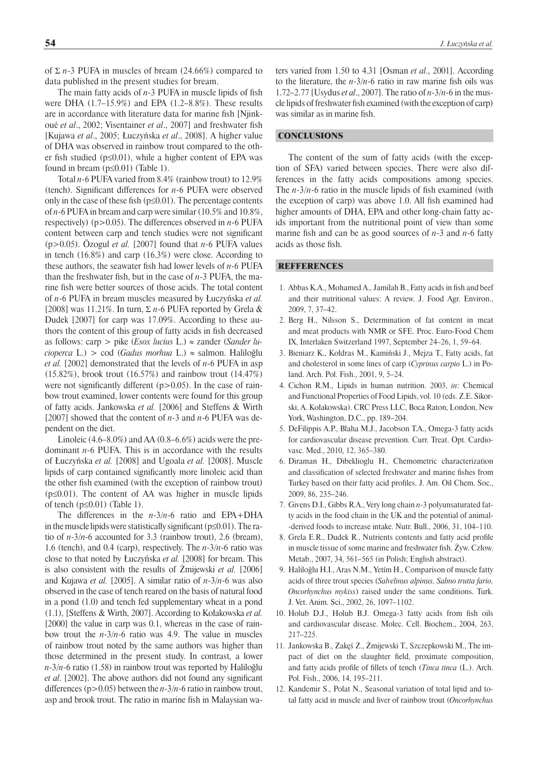of Σ *n*-3 PUFA in muscles of bream (24.66%) compared to data published in the present studies for bream.

The main fatty acids of  $n-3$  PUFA in muscle lipids of fish were DHA (1.7–15.9%) and EPA (1.2–8.8%). These results are in accordance with literature data for marine fish [Njinkoué *et al.*, 2002; Visentainer *et al.*, 2007] and freshwater fish [Kujawa *et al*., 2005; Łuczyńska *et al*., 2008]. A higher value of DHA was observed in rainbow trout compared to the other fish studied ( $p \le 0.01$ ), while a higher content of EPA was found in bream (p≤0.01) (Table 1).

Total *n*-6 PUFA varied from 8.4% (rainbow trout) to 12.9% (tench). Significant differences for *n*-6 PUFA were observed only in the case of these fish ( $p \le 0.01$ ). The percentage contents of *n*-6 PUFA in bream and carp were similar (10.5% and 10.8%, respectively) (p>0.05). The differences observed in *n*-6 PUFA content between carp and tench studies were not significant (p>0.05). Özogul *et al.* [2007] found that *n*-6 PUFA values in tench (16.8%) and carp (16.3%) were close. According to these authors, the seawater fish had lower levels of  $n-6$  PUFA than the freshwater fish, but in the case of  $n-3$  PUFA, the marine fish were better sources of those acids. The total content of *n*-6 PUFA in bream muscles measured by Łuczyńska *et al.* [2008] was 11.21%. In turn, Σ *n*-6 PUFA reported by Grela & Dudek [2007] for carp was 17.09%. According to these authors the content of this group of fatty acids in fish decreased as follows: carp > pike (*Esox lucius* L.) ≈ zander (*Sander lucioperca* L.) > cod (*Gadus morhua* L.) ≈ salmon. Haliloğlu *et al.* [2002] demonstrated that the levels of *n*-6 PUFA in asp (15.82%), brook trout (16.57%) and rainbow trout (14.47%) were not significantly different  $(p>0.05)$ . In the case of rainbow trout examined, lower contents were found for this group of fatty acids. Jankowska *et al.* [2006] and Steffens & Wirth [2007] showed that the content of *n*-3 and *n*-6 PUFA was dependent on the diet.

Linoleic (4.6–8.0%) and AA (0.8–6.6%) acids were the predominant *n*-6 PUFA. This is in accordance with the results of Łuczyńska *et al.* [2008] and Ugoala *et al.* [2008]. Muscle lipids of carp contained significantly more linoleic acid than the other fish examined (with the exception of rainbow trout)  $(p \le 0.01)$ . The content of AA was higher in muscle lipids of tench  $(p \le 0.01)$  (Table 1).

The differences in the *n*-3/*n*-6 ratio and EPA+DHA in the muscle lipids were statistically significant ( $p \le 0.01$ ). The ratio of *n*-3/*n*-6 accounted for 3.3 (rainbow trout), 2.6 (bream), 1.6 (tench), and 0.4 (carp), respectively. The *n*-3/*n*-6 ratio was close to that noted by Łuczyńska *et al.* [2008] for bream. This is also consistent with the results of Żmijewski *et al.* [2006] and Kujawa *et al.* [2005]. A similar ratio of *n*-3/*n*-6 was also observed in the case of tench reared on the basis of natural food in a pond (1.0) and tench fed supplementary wheat in a pond (1.1), [Steffens & Wirth, 2007]. According to Kołakowska *et al.* [2000] the value in carp was 0.1, whereas in the case of rainbow trout the *n*-3/*n*-6 ratio was 4.9. The value in muscles of rainbow trout noted by the same authors was higher than those determined in the present study. In contrast, a lower *n*-3/*n*-6 ratio (1.58) in rainbow trout was reported by Haliloğlu *et al.* [2002]. The above authors did not found any significant differences (p>0.05) between the *n*-3/*n*-6 ratio in rainbow trout, asp and brook trout. The ratio in marine fish in Malaysian wa-

ters varied from 1.50 to 4.31 [Osman *et al*., 2001]. According to the literature, the  $n-3/n-6$  ratio in raw marine fish oils was 1.72–2.77 [Usydus *et al*., 2007]. The ratio of *n*-3/*n*-6 in the muscle lipids of freshwater fish examined (with the exception of carp) was similar as in marine fish.

## **CONCLUSIONS**

The content of the sum of fatty acids (with the exception of SFA) varied between species. There were also differences in the fatty acids compositions among species. The  $n-3/n-6$  ratio in the muscle lipids of fish examined (with the exception of carp) was above 1.0. All fish examined had higher amounts of DHA, EPA and other long-chain fatty acids important from the nutritional point of view than some marine fish and can be as good sources of  $n-3$  and  $n-6$  fatty acids as those fish.

#### **REFFERENCES**

- 1. Abbas K.A., Mohamed A., Jamilah B., Fatty acids in fish and beef and their nutritional values: A review. J. Food Agr. Environ., 2009, 7, 37–42.
- 2. Berg H., Nilsson S., Determination of fat content in meat and meat products with NMR or SFE. Proc. Euro-Food Chem IX, Interlaken Switzerland 1997, September 24–26, 1, 59–64.
- 3. Bieniarz K., Kołdras M., Kamiński J., Mejza T., Fatty acids, fat and cholesterol in some lines of carp (*Cyprinus carpio* L.) in Poland. Arch. Pol. Fish., 2001, 9, 5–24.
- 4. Cichon R.M., Lipids in human nutrition. 2003, *in*: Chemical and Functional Properties of Food Lipids, vol. 10 (eds. Z.E. Sikorski, A. Kołakowska). CRC Press LLC, Boca Raton, London, New York, Washington, D.C., pp. 189–204.
- 5. DeFilippis A.P., Blaha M.J., Jacobson T.A., Omega-3 fatty acids for cardiovascular disease prevention. Curr. Treat. Opt. Cardiovasc. Med., 2010, 12, 365–380.
- 6. Diraman H., Dibeklioglu H., Chemometric characterization and classification of selected freshwater and marine fishes from Turkey based on their fatty acid profiles. J. Am. Oil Chem. Soc., 2009, 86, 235–246.
- 7. Givens D.I., Gibbs R.A., Very long chain *n*-3 polyunsaturated fatty acids in the food chain in the UK and the potential of animal- -derived foods to increase intake. Nutr. Bull., 2006, 31, 104–110.
- 8. Grela E.R., Dudek R., Nutrients contents and fatty acid profile in muscle tissue of some marine and freshwater fish. Żyw. Człow. Metab., 2007, 34, 561–565 (in Polish; English abstract).
- 9. Haliloğlu H.I., Aras N.M., Yetím H., Comparison of muscle fatty acids of three trout species (*Salvelinus alpinus, Salmo trutta fario, Oncorhynchus mykiss*) raised under the same conditions. Turk. J. Vet. Anim. Sci., 2002, 26, 1097–1102.
- 10. Holub D.J., Holub B.J. Omega-3 fatty acids from fish oils and cardiovascular disease. Molec. Cell. Biochem., 2004, 263, 217–225.
- 11. Jankowska B., Zakęś Z., Żmijewski T., Szczepkowski M., The impact of diet on the slaughter field, proximate composition, and fatty acids profile of fillets of tench (*Tinca tinca* (L.). Arch. Pol. Fish., 2006, 14, 195–211.
- 12. Kandemir S., Polat N., Seasonal variation of total lipid and total fatty acid in muscle and liver of rainbow trout (*Oncorhynchus*